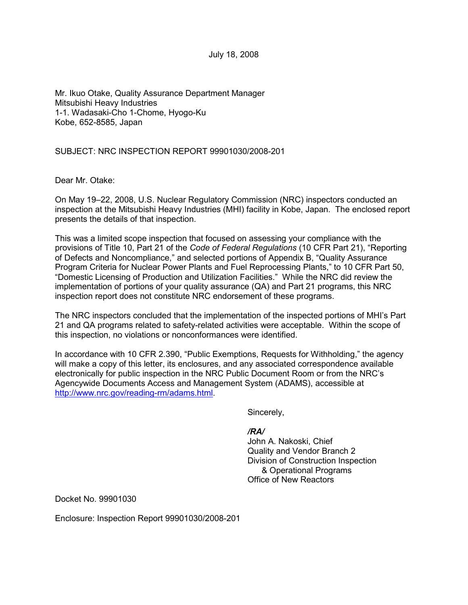July 18, 2008

Mr. Ikuo Otake, Quality Assurance Department Manager Mitsubishi Heavy Industries 1-1. Wadasaki-Cho 1-Chome, Hyogo-Ku Kobe, 652-8585, Japan

SUBJECT: NRC INSPECTION REPORT 99901030/2008-201

Dear Mr. Otake:

On May 19–22, 2008, U.S. Nuclear Regulatory Commission (NRC) inspectors conducted an inspection at the Mitsubishi Heavy Industries (MHI) facility in Kobe, Japan. The enclosed report presents the details of that inspection.

This was a limited scope inspection that focused on assessing your compliance with the provisions of Title 10, Part 21 of the *Code of Federal Regulations* (10 CFR Part 21), "Reporting of Defects and Noncompliance," and selected portions of Appendix B, "Quality Assurance Program Criteria for Nuclear Power Plants and Fuel Reprocessing Plants," to 10 CFR Part 50, "Domestic Licensing of Production and Utilization Facilities." While the NRC did review the implementation of portions of your quality assurance (QA) and Part 21 programs, this NRC inspection report does not constitute NRC endorsement of these programs.

The NRC inspectors concluded that the implementation of the inspected portions of MHI's Part 21 and QA programs related to safety-related activities were acceptable. Within the scope of this inspection, no violations or nonconformances were identified.

In accordance with 10 CFR 2.390, "Public Exemptions, Requests for Withholding," the agency will make a copy of this letter, its enclosures, and any associated correspondence available electronically for public inspection in the NRC Public Document Room or from the NRC's Agencywide Documents Access and Management System (ADAMS), accessible at http://www.nrc.gov/reading-rm/adams.html.

Sincerely,

### */RA/*

John A. Nakoski, Chief Quality and Vendor Branch 2 Division of Construction Inspection & Operational Programs Office of New Reactors

Docket No. 99901030

Enclosure: Inspection Report 99901030/2008-201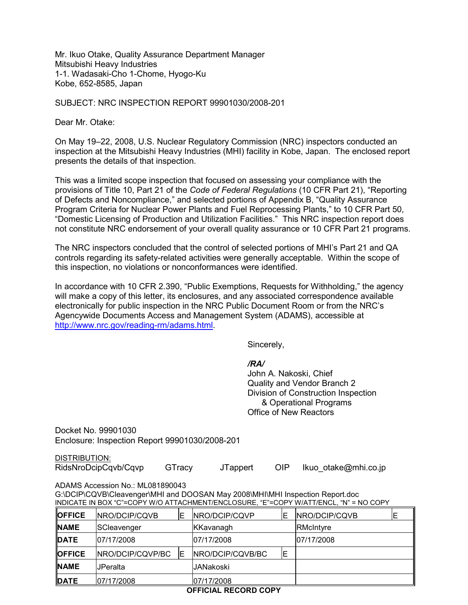Mr. Ikuo Otake, Quality Assurance Department Manager Mitsubishi Heavy Industries 1-1. Wadasaki-Cho 1-Chome, Hyogo-Ku Kobe, 652-8585, Japan

SUBJECT: NRC INSPECTION REPORT 99901030/2008-201

Dear Mr. Otake:

On May 19–22, 2008, U.S. Nuclear Regulatory Commission (NRC) inspectors conducted an inspection at the Mitsubishi Heavy Industries (MHI) facility in Kobe, Japan. The enclosed report presents the details of that inspection.

This was a limited scope inspection that focused on assessing your compliance with the provisions of Title 10, Part 21 of the *Code of Federal Regulations* (10 CFR Part 21), "Reporting of Defects and Noncompliance," and selected portions of Appendix B, "Quality Assurance Program Criteria for Nuclear Power Plants and Fuel Reprocessing Plants," to 10 CFR Part 50, "Domestic Licensing of Production and Utilization Facilities." This NRC inspection report does not constitute NRC endorsement of your overall quality assurance or 10 CFR Part 21 programs.

The NRC inspectors concluded that the control of selected portions of MHI's Part 21 and QA controls regarding its safety-related activities were generally acceptable. Within the scope of this inspection, no violations or nonconformances were identified.

In accordance with 10 CFR 2.390, "Public Exemptions, Requests for Withholding," the agency will make a copy of this letter, its enclosures, and any associated correspondence available electronically for public inspection in the NRC Public Document Room or from the NRC's Agencywide Documents Access and Management System (ADAMS), accessible at http://www.nrc.gov/reading-rm/adams.html.

Sincerely,

*/RA/* 

John A. Nakoski, Chief Quality and Vendor Branch 2 Division of Construction Inspection & Operational Programs Office of New Reactors

Docket No. 99901030 Enclosure: Inspection Report 99901030/2008-201

DISTRIBUTION:

RidsNroDcipCqvb/Cqvp GTracy JTappert OIP Ikuo\_otake@mhi.co.jp

ADAMS Accession No.: ML081890043

G:\DCIP\CQVB\Cleavenger\MHI and DOOSAN May 2008\MHI\MHI Inspection Report.doc INDICATE IN BOX "C"=COPY W/O ATTACHMENT/ENCLOSURE, "E"=COPY W/ATT/ENCL, "N" = NO COPY

| <b>OFFICE</b>               | <b>INRO/DCIP/CQVB</b> | E  | NRO/DCIP/CQVP    | ΙE | <b>INRO/DCIP/CQVB</b> | E |
|-----------------------------|-----------------------|----|------------------|----|-----------------------|---|
| <b>NAME</b>                 | SCleavenger           |    | KKavanagh        |    | RMcIntyre             |   |
| <b>DATE</b>                 | 07/17/2008            |    | 07/17/2008       |    | 07/17/2008            |   |
| <b>OFFICE</b>               | NRO/DCIP/CQVP/BC      | ΙE | NRO/DCIP/CQVB/BC | ΙE |                       |   |
| <b>INAME</b>                | lJPeralta             |    | <b>JANakoski</b> |    |                       |   |
| <b>DATE</b>                 | 07/17/2008            |    | 07/17/2008       |    |                       |   |
| <b>OFFICIAL RECORD COPY</b> |                       |    |                  |    |                       |   |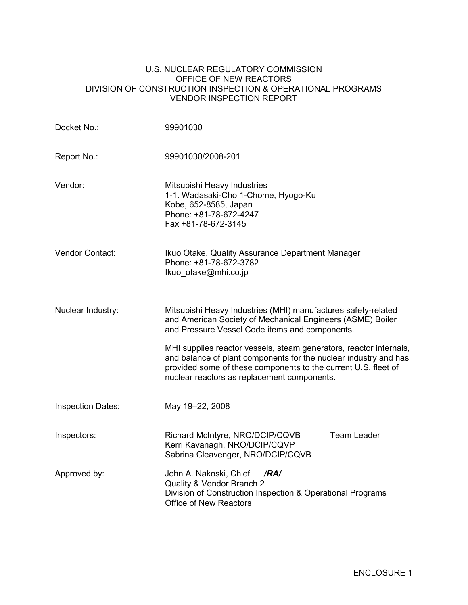#### U.S. NUCLEAR REGULATORY COMMISSION OFFICE OF NEW REACTORS DIVISION OF CONSTRUCTION INSPECTION & OPERATIONAL PROGRAMS VENDOR INSPECTION REPORT

| Docket No.:              | 99901030                                                                                                                                                                                                                                                |  |  |  |  |
|--------------------------|---------------------------------------------------------------------------------------------------------------------------------------------------------------------------------------------------------------------------------------------------------|--|--|--|--|
| Report No.:              | 99901030/2008-201                                                                                                                                                                                                                                       |  |  |  |  |
| Vendor:                  | Mitsubishi Heavy Industries<br>1-1. Wadasaki-Cho 1-Chome, Hyogo-Ku<br>Kobe, 652-8585, Japan<br>Phone: +81-78-672-4247<br>Fax +81-78-672-3145                                                                                                            |  |  |  |  |
| Vendor Contact:          | Ikuo Otake, Quality Assurance Department Manager<br>Phone: +81-78-672-3782<br>Ikuo_otake@mhi.co.jp                                                                                                                                                      |  |  |  |  |
| Nuclear Industry:        | Mitsubishi Heavy Industries (MHI) manufactures safety-related<br>and American Society of Mechanical Engineers (ASME) Boiler<br>and Pressure Vessel Code items and components.                                                                           |  |  |  |  |
|                          | MHI supplies reactor vessels, steam generators, reactor internals,<br>and balance of plant components for the nuclear industry and has<br>provided some of these components to the current U.S. fleet of<br>nuclear reactors as replacement components. |  |  |  |  |
| <b>Inspection Dates:</b> | May 19-22, 2008                                                                                                                                                                                                                                         |  |  |  |  |
| Inspectors:              | <b>Team Leader</b><br>Richard McIntyre, NRO/DCIP/CQVB<br>Kerri Kavanagh, NRO/DCIP/CQVP<br>Sabrina Cleavenger, NRO/DCIP/CQVB                                                                                                                             |  |  |  |  |
| Approved by:             | John A. Nakoski, Chief<br>/RA/<br>Quality & Vendor Branch 2<br>Division of Construction Inspection & Operational Programs<br><b>Office of New Reactors</b>                                                                                              |  |  |  |  |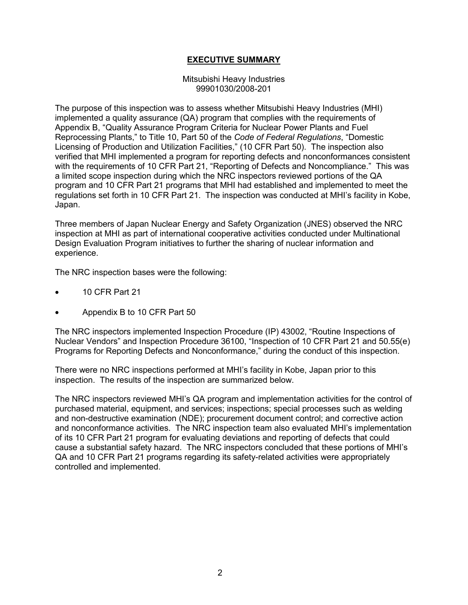## **EXECUTIVE SUMMARY**

#### Mitsubishi Heavy Industries 99901030/2008-201

The purpose of this inspection was to assess whether Mitsubishi Heavy Industries (MHI) implemented a quality assurance (QA) program that complies with the requirements of Appendix B, "Quality Assurance Program Criteria for Nuclear Power Plants and Fuel Reprocessing Plants," to Title 10, Part 50 of the *Code of Federal Regulations*, "Domestic Licensing of Production and Utilization Facilities," (10 CFR Part 50). The inspection also verified that MHI implemented a program for reporting defects and nonconformances consistent with the requirements of 10 CFR Part 21, "Reporting of Defects and Noncompliance." This was a limited scope inspection during which the NRC inspectors reviewed portions of the QA program and 10 CFR Part 21 programs that MHI had established and implemented to meet the regulations set forth in 10 CFR Part 21. The inspection was conducted at MHI's facility in Kobe, Japan.

Three members of Japan Nuclear Energy and Safety Organization (JNES) observed the NRC inspection at MHI as part of international cooperative activities conducted under Multinational Design Evaluation Program initiatives to further the sharing of nuclear information and experience.

The NRC inspection bases were the following:

- 10 CFR Part 21
- Appendix B to 10 CFR Part 50

The NRC inspectors implemented Inspection Procedure (IP) 43002, "Routine Inspections of Nuclear Vendors" and Inspection Procedure 36100, "Inspection of 10 CFR Part 21 and 50.55(e) Programs for Reporting Defects and Nonconformance," during the conduct of this inspection.

There were no NRC inspections performed at MHI's facility in Kobe, Japan prior to this inspection. The results of the inspection are summarized below.

The NRC inspectors reviewed MHI's QA program and implementation activities for the control of purchased material, equipment, and services; inspections; special processes such as welding and non-destructive examination (NDE); procurement document control; and corrective action and nonconformance activities. The NRC inspection team also evaluated MHI's implementation of its 10 CFR Part 21 program for evaluating deviations and reporting of defects that could cause a substantial safety hazard. The NRC inspectors concluded that these portions of MHI's QA and 10 CFR Part 21 programs regarding its safety-related activities were appropriately controlled and implemented.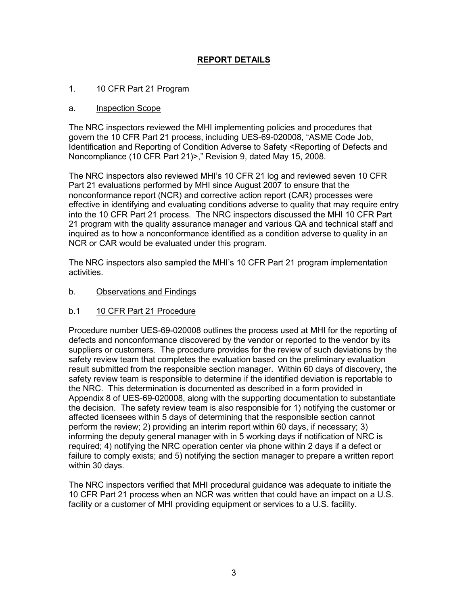## **REPORT DETAILS**

### 1. 10 CFR Part 21 Program

#### a. Inspection Scope

The NRC inspectors reviewed the MHI implementing policies and procedures that govern the 10 CFR Part 21 process, including UES-69-020008, "ASME Code Job, Identification and Reporting of Condition Adverse to Safety <Reporting of Defects and Noncompliance (10 CFR Part 21)>," Revision 9, dated May 15, 2008.

The NRC inspectors also reviewed MHI's 10 CFR 21 log and reviewed seven 10 CFR Part 21 evaluations performed by MHI since August 2007 to ensure that the nonconformance report (NCR) and corrective action report (CAR) processes were effective in identifying and evaluating conditions adverse to quality that may require entry into the 10 CFR Part 21 process. The NRC inspectors discussed the MHI 10 CFR Part 21 program with the quality assurance manager and various QA and technical staff and inquired as to how a nonconformance identified as a condition adverse to quality in an NCR or CAR would be evaluated under this program.

The NRC inspectors also sampled the MHI's 10 CFR Part 21 program implementation activities.

### b. Observations and Findings

### b.1 10 CFR Part 21 Procedure

Procedure number UES-69-020008 outlines the process used at MHI for the reporting of defects and nonconformance discovered by the vendor or reported to the vendor by its suppliers or customers. The procedure provides for the review of such deviations by the safety review team that completes the evaluation based on the preliminary evaluation result submitted from the responsible section manager. Within 60 days of discovery, the safety review team is responsible to determine if the identified deviation is reportable to the NRC. This determination is documented as described in a form provided in Appendix 8 of UES-69-020008, along with the supporting documentation to substantiate the decision. The safety review team is also responsible for 1) notifying the customer or affected licensees within 5 days of determining that the responsible section cannot perform the review; 2) providing an interim report within 60 days, if necessary; 3) informing the deputy general manager with in 5 working days if notification of NRC is required; 4) notifying the NRC operation center via phone within 2 days if a defect or failure to comply exists; and 5) notifying the section manager to prepare a written report within 30 days.

The NRC inspectors verified that MHI procedural guidance was adequate to initiate the 10 CFR Part 21 process when an NCR was written that could have an impact on a U.S. facility or a customer of MHI providing equipment or services to a U.S. facility.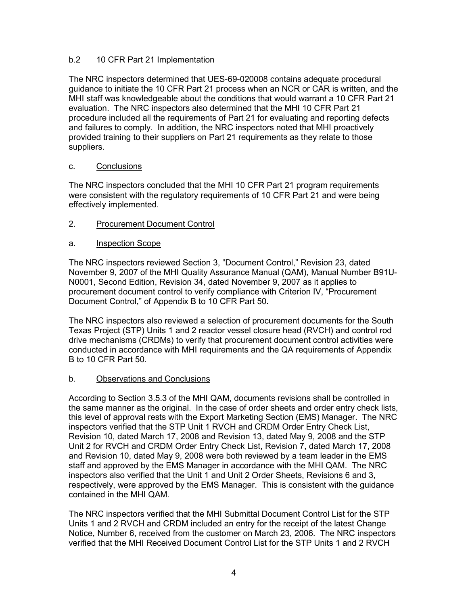## b.2 10 CFR Part 21 Implementation

The NRC inspectors determined that UES-69-020008 contains adequate procedural guidance to initiate the 10 CFR Part 21 process when an NCR or CAR is written, and the MHI staff was knowledgeable about the conditions that would warrant a 10 CFR Part 21 evaluation. The NRC inspectors also determined that the MHI 10 CFR Part 21 procedure included all the requirements of Part 21 for evaluating and reporting defects and failures to comply. In addition, the NRC inspectors noted that MHI proactively provided training to their suppliers on Part 21 requirements as they relate to those suppliers.

### c. Conclusions

The NRC inspectors concluded that the MHI 10 CFR Part 21 program requirements were consistent with the regulatory requirements of 10 CFR Part 21 and were being effectively implemented.

2. Procurement Document Control

## a. Inspection Scope

The NRC inspectors reviewed Section 3, "Document Control," Revision 23, dated November 9, 2007 of the MHI Quality Assurance Manual (QAM), Manual Number B91U-N0001, Second Edition, Revision 34, dated November 9, 2007 as it applies to procurement document control to verify compliance with Criterion IV, "Procurement Document Control," of Appendix B to 10 CFR Part 50.

The NRC inspectors also reviewed a selection of procurement documents for the South Texas Project (STP) Units 1 and 2 reactor vessel closure head (RVCH) and control rod drive mechanisms (CRDMs) to verify that procurement document control activities were conducted in accordance with MHI requirements and the QA requirements of Appendix B to 10 CFR Part 50.

### b. Observations and Conclusions

According to Section 3.5.3 of the MHI QAM, documents revisions shall be controlled in the same manner as the original. In the case of order sheets and order entry check lists, this level of approval rests with the Export Marketing Section (EMS) Manager. The NRC inspectors verified that the STP Unit 1 RVCH and CRDM Order Entry Check List, Revision 10, dated March 17, 2008 and Revision 13, dated May 9, 2008 and the STP Unit 2 for RVCH and CRDM Order Entry Check List, Revision 7, dated March 17, 2008 and Revision 10, dated May 9, 2008 were both reviewed by a team leader in the EMS staff and approved by the EMS Manager in accordance with the MHI QAM. The NRC inspectors also verified that the Unit 1 and Unit 2 Order Sheets, Revisions 6 and 3, respectively, were approved by the EMS Manager. This is consistent with the guidance contained in the MHI QAM.

The NRC inspectors verified that the MHI Submittal Document Control List for the STP Units 1 and 2 RVCH and CRDM included an entry for the receipt of the latest Change Notice, Number 6, received from the customer on March 23, 2006. The NRC inspectors verified that the MHI Received Document Control List for the STP Units 1 and 2 RVCH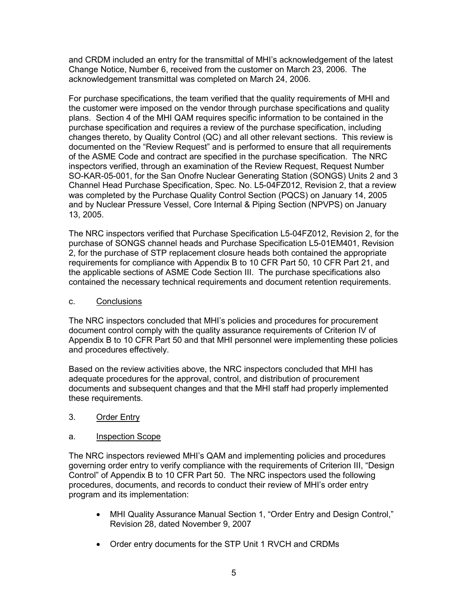and CRDM included an entry for the transmittal of MHI's acknowledgement of the latest Change Notice, Number 6, received from the customer on March 23, 2006. The acknowledgement transmittal was completed on March 24, 2006.

For purchase specifications, the team verified that the quality requirements of MHI and the customer were imposed on the vendor through purchase specifications and quality plans. Section 4 of the MHI QAM requires specific information to be contained in the purchase specification and requires a review of the purchase specification, including changes thereto, by Quality Control (QC) and all other relevant sections. This review is documented on the "Review Request" and is performed to ensure that all requirements of the ASME Code and contract are specified in the purchase specification. The NRC inspectors verified, through an examination of the Review Request, Request Number SO-KAR-05-001, for the San Onofre Nuclear Generating Station (SONGS) Units 2 and 3 Channel Head Purchase Specification, Spec. No. L5-04FZ012, Revision 2, that a review was completed by the Purchase Quality Control Section (PQCS) on January 14, 2005 and by Nuclear Pressure Vessel, Core Internal & Piping Section (NPVPS) on January 13, 2005.

The NRC inspectors verified that Purchase Specification L5-04FZ012, Revision 2, for the purchase of SONGS channel heads and Purchase Specification L5-01EM401, Revision 2, for the purchase of STP replacement closure heads both contained the appropriate requirements for compliance with Appendix B to 10 CFR Part 50, 10 CFR Part 21, and the applicable sections of ASME Code Section III. The purchase specifications also contained the necessary technical requirements and document retention requirements.

## c. Conclusions

The NRC inspectors concluded that MHI's policies and procedures for procurement document control comply with the quality assurance requirements of Criterion IV of Appendix B to 10 CFR Part 50 and that MHI personnel were implementing these policies and procedures effectively.

Based on the review activities above, the NRC inspectors concluded that MHI has adequate procedures for the approval, control, and distribution of procurement documents and subsequent changes and that the MHI staff had properly implemented these requirements.

## 3. Order Entry

## a. Inspection Scope

The NRC inspectors reviewed MHI's QAM and implementing policies and procedures governing order entry to verify compliance with the requirements of Criterion III, "Design Control" of Appendix B to 10 CFR Part 50. The NRC inspectors used the following procedures, documents, and records to conduct their review of MHI's order entry program and its implementation:

- MHI Quality Assurance Manual Section 1, "Order Entry and Design Control," Revision 28, dated November 9, 2007
- Order entry documents for the STP Unit 1 RVCH and CRDMs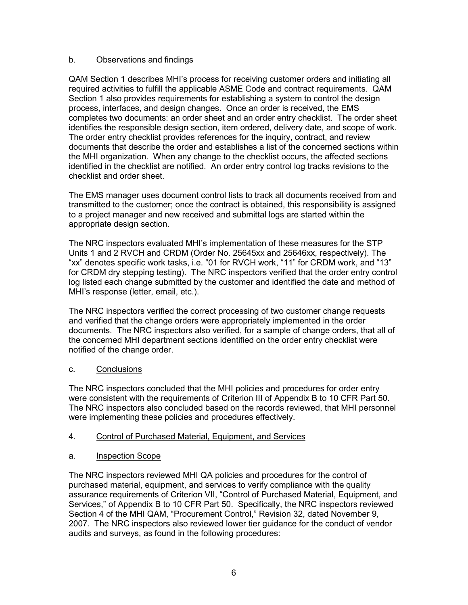## b. Observations and findings

QAM Section 1 describes MHI's process for receiving customer orders and initiating all required activities to fulfill the applicable ASME Code and contract requirements. QAM Section 1 also provides requirements for establishing a system to control the design process, interfaces, and design changes. Once an order is received, the EMS completes two documents: an order sheet and an order entry checklist. The order sheet identifies the responsible design section, item ordered, delivery date, and scope of work. The order entry checklist provides references for the inquiry, contract, and review documents that describe the order and establishes a list of the concerned sections within the MHI organization. When any change to the checklist occurs, the affected sections identified in the checklist are notified. An order entry control log tracks revisions to the checklist and order sheet.

The EMS manager uses document control lists to track all documents received from and transmitted to the customer; once the contract is obtained, this responsibility is assigned to a project manager and new received and submittal logs are started within the appropriate design section.

The NRC inspectors evaluated MHI's implementation of these measures for the STP Units 1 and 2 RVCH and CRDM (Order No. 25645xx and 25646xx, respectively). The "xx" denotes specific work tasks, i.e. "01 for RVCH work, "11" for CRDM work, and "13" for CRDM dry stepping testing). The NRC inspectors verified that the order entry control log listed each change submitted by the customer and identified the date and method of MHI's response (letter, email, etc.).

The NRC inspectors verified the correct processing of two customer change requests and verified that the change orders were appropriately implemented in the order documents. The NRC inspectors also verified, for a sample of change orders, that all of the concerned MHI department sections identified on the order entry checklist were notified of the change order.

## c. Conclusions

The NRC inspectors concluded that the MHI policies and procedures for order entry were consistent with the requirements of Criterion III of Appendix B to 10 CFR Part 50. The NRC inspectors also concluded based on the records reviewed, that MHI personnel were implementing these policies and procedures effectively.

## 4. Control of Purchased Material, Equipment, and Services

## a. Inspection Scope

The NRC inspectors reviewed MHI QA policies and procedures for the control of purchased material, equipment, and services to verify compliance with the quality assurance requirements of Criterion VII, "Control of Purchased Material, Equipment, and Services," of Appendix B to 10 CFR Part 50. Specifically, the NRC inspectors reviewed Section 4 of the MHI QAM, "Procurement Control," Revision 32, dated November 9, 2007. The NRC inspectors also reviewed lower tier guidance for the conduct of vendor audits and surveys, as found in the following procedures: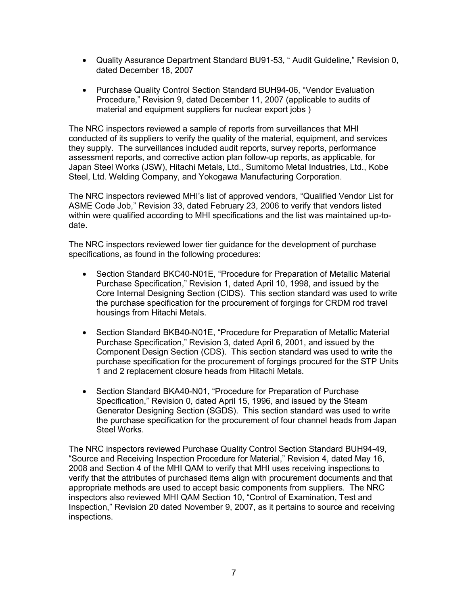- Quality Assurance Department Standard BU91-53, " Audit Guideline," Revision 0, dated December 18, 2007
- Purchase Quality Control Section Standard BUH94-06, "Vendor Evaluation Procedure," Revision 9, dated December 11, 2007 (applicable to audits of material and equipment suppliers for nuclear export jobs )

The NRC inspectors reviewed a sample of reports from surveillances that MHI conducted of its suppliers to verify the quality of the material, equipment, and services they supply. The surveillances included audit reports, survey reports, performance assessment reports, and corrective action plan follow-up reports, as applicable, for Japan Steel Works (JSW), Hitachi Metals, Ltd., Sumitomo Metal Industries, Ltd., Kobe Steel, Ltd. Welding Company, and Yokogawa Manufacturing Corporation.

The NRC inspectors reviewed MHI's list of approved vendors, "Qualified Vendor List for ASME Code Job," Revision 33, dated February 23, 2006 to verify that vendors listed within were qualified according to MHI specifications and the list was maintained up-todate.

The NRC inspectors reviewed lower tier guidance for the development of purchase specifications, as found in the following procedures:

- Section Standard BKC40-N01E, "Procedure for Preparation of Metallic Material Purchase Specification," Revision 1, dated April 10, 1998, and issued by the Core Internal Designing Section (CIDS). This section standard was used to write the purchase specification for the procurement of forgings for CRDM rod travel housings from Hitachi Metals.
- Section Standard BKB40-N01E, "Procedure for Preparation of Metallic Material Purchase Specification," Revision 3, dated April 6, 2001, and issued by the Component Design Section (CDS). This section standard was used to write the purchase specification for the procurement of forgings procured for the STP Units 1 and 2 replacement closure heads from Hitachi Metals.
- Section Standard BKA40-N01, "Procedure for Preparation of Purchase Specification," Revision 0, dated April 15, 1996, and issued by the Steam Generator Designing Section (SGDS). This section standard was used to write the purchase specification for the procurement of four channel heads from Japan Steel Works.

The NRC inspectors reviewed Purchase Quality Control Section Standard BUH94-49, "Source and Receiving Inspection Procedure for Material," Revision 4, dated May 16, 2008 and Section 4 of the MHI QAM to verify that MHI uses receiving inspections to verify that the attributes of purchased items align with procurement documents and that appropriate methods are used to accept basic components from suppliers. The NRC inspectors also reviewed MHI QAM Section 10, "Control of Examination, Test and Inspection," Revision 20 dated November 9, 2007, as it pertains to source and receiving inspections.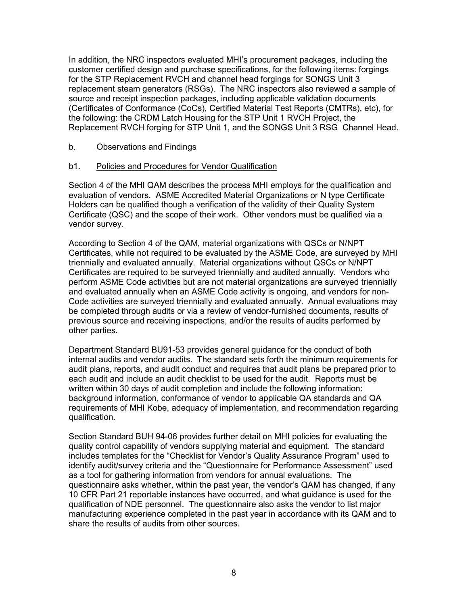In addition, the NRC inspectors evaluated MHI's procurement packages, including the customer certified design and purchase specifications, for the following items: forgings for the STP Replacement RVCH and channel head forgings for SONGS Unit 3 replacement steam generators (RSGs). The NRC inspectors also reviewed a sample of source and receipt inspection packages, including applicable validation documents (Certificates of Conformance (CoCs), Certified Material Test Reports (CMTRs), etc), for the following: the CRDM Latch Housing for the STP Unit 1 RVCH Project, the Replacement RVCH forging for STP Unit 1, and the SONGS Unit 3 RSG Channel Head.

### b. Observations and Findings

## b1. Policies and Procedures for Vendor Qualification

Section 4 of the MHI QAM describes the process MHI employs for the qualification and evaluation of vendors. ASME Accredited Material Organizations or N type Certificate Holders can be qualified though a verification of the validity of their Quality System Certificate (QSC) and the scope of their work. Other vendors must be qualified via a vendor survey.

According to Section 4 of the QAM, material organizations with QSCs or N/NPT Certificates, while not required to be evaluated by the ASME Code, are surveyed by MHI triennially and evaluated annually. Material organizations without QSCs or N/NPT Certificates are required to be surveyed triennially and audited annually. Vendors who perform ASME Code activities but are not material organizations are surveyed triennially and evaluated annually when an ASME Code activity is ongoing, and vendors for non-Code activities are surveyed triennially and evaluated annually. Annual evaluations may be completed through audits or via a review of vendor-furnished documents, results of previous source and receiving inspections, and/or the results of audits performed by other parties.

Department Standard BU91-53 provides general guidance for the conduct of both internal audits and vendor audits. The standard sets forth the minimum requirements for audit plans, reports, and audit conduct and requires that audit plans be prepared prior to each audit and include an audit checklist to be used for the audit. Reports must be written within 30 days of audit completion and include the following information: background information, conformance of vendor to applicable QA standards and QA requirements of MHI Kobe, adequacy of implementation, and recommendation regarding qualification.

Section Standard BUH 94-06 provides further detail on MHI policies for evaluating the quality control capability of vendors supplying material and equipment. The standard includes templates for the "Checklist for Vendor's Quality Assurance Program" used to identify audit/survey criteria and the "Questionnaire for Performance Assessment" used as a tool for gathering information from vendors for annual evaluations. The questionnaire asks whether, within the past year, the vendor's QAM has changed, if any 10 CFR Part 21 reportable instances have occurred, and what guidance is used for the qualification of NDE personnel. The questionnaire also asks the vendor to list major manufacturing experience completed in the past year in accordance with its QAM and to share the results of audits from other sources.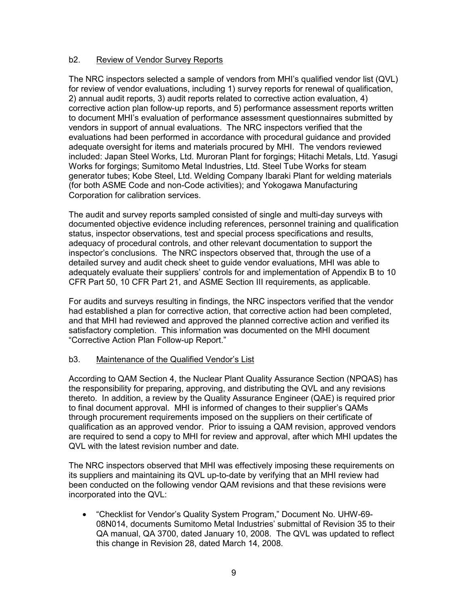### b2. Review of Vendor Survey Reports

The NRC inspectors selected a sample of vendors from MHI's qualified vendor list (QVL) for review of vendor evaluations, including 1) survey reports for renewal of qualification, 2) annual audit reports, 3) audit reports related to corrective action evaluation, 4) corrective action plan follow-up reports, and 5) performance assessment reports written to document MHI's evaluation of performance assessment questionnaires submitted by vendors in support of annual evaluations. The NRC inspectors verified that the evaluations had been performed in accordance with procedural guidance and provided adequate oversight for items and materials procured by MHI. The vendors reviewed included: Japan Steel Works, Ltd. Muroran Plant for forgings; Hitachi Metals, Ltd. Yasugi Works for forgings; Sumitomo Metal Industries, Ltd. Steel Tube Works for steam generator tubes; Kobe Steel, Ltd. Welding Company Ibaraki Plant for welding materials (for both ASME Code and non-Code activities); and Yokogawa Manufacturing Corporation for calibration services.

The audit and survey reports sampled consisted of single and multi-day surveys with documented objective evidence including references, personnel training and qualification status, inspector observations, test and special process specifications and results, adequacy of procedural controls, and other relevant documentation to support the inspector's conclusions. The NRC inspectors observed that, through the use of a detailed survey and audit check sheet to guide vendor evaluations, MHI was able to adequately evaluate their suppliers' controls for and implementation of Appendix B to 10 CFR Part 50, 10 CFR Part 21, and ASME Section III requirements, as applicable.

For audits and surveys resulting in findings, the NRC inspectors verified that the vendor had established a plan for corrective action, that corrective action had been completed, and that MHI had reviewed and approved the planned corrective action and verified its satisfactory completion. This information was documented on the MHI document "Corrective Action Plan Follow-up Report."

### b3. Maintenance of the Qualified Vendor's List

According to QAM Section 4, the Nuclear Plant Quality Assurance Section (NPQAS) has the responsibility for preparing, approving, and distributing the QVL and any revisions thereto. In addition, a review by the Quality Assurance Engineer (QAE) is required prior to final document approval. MHI is informed of changes to their supplier's QAMs through procurement requirements imposed on the suppliers on their certificate of qualification as an approved vendor. Prior to issuing a QAM revision, approved vendors are required to send a copy to MHI for review and approval, after which MHI updates the QVL with the latest revision number and date.

The NRC inspectors observed that MHI was effectively imposing these requirements on its suppliers and maintaining its QVL up-to-date by verifying that an MHI review had been conducted on the following vendor QAM revisions and that these revisions were incorporated into the QVL:

• "Checklist for Vendor's Quality System Program," Document No. UHW-69- 08N014, documents Sumitomo Metal Industries' submittal of Revision 35 to their QA manual, QA 3700, dated January 10, 2008. The QVL was updated to reflect this change in Revision 28, dated March 14, 2008.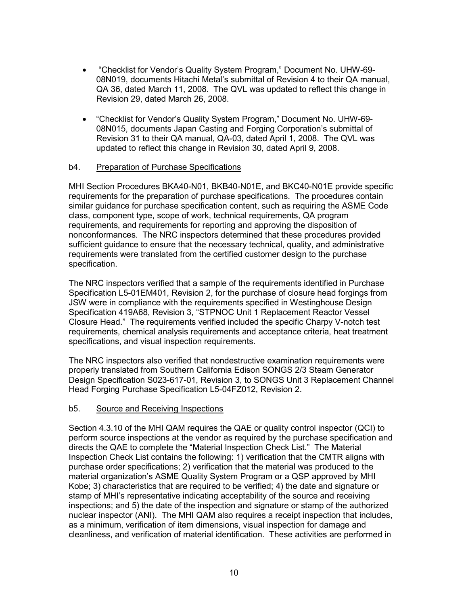- "Checklist for Vendor's Quality System Program," Document No. UHW-69- 08N019, documents Hitachi Metal's submittal of Revision 4 to their QA manual, QA 36, dated March 11, 2008. The QVL was updated to reflect this change in Revision 29, dated March 26, 2008.
- "Checklist for Vendor's Quality System Program," Document No. UHW-69- 08N015, documents Japan Casting and Forging Corporation's submittal of Revision 31 to their QA manual, QA-03, dated April 1, 2008. The QVL was updated to reflect this change in Revision 30, dated April 9, 2008.

#### b4. Preparation of Purchase Specifications

MHI Section Procedures BKA40-N01, BKB40-N01E, and BKC40-N01E provide specific requirements for the preparation of purchase specifications. The procedures contain similar guidance for purchase specification content, such as requiring the ASME Code class, component type, scope of work, technical requirements, QA program requirements, and requirements for reporting and approving the disposition of nonconformances. The NRC inspectors determined that these procedures provided sufficient guidance to ensure that the necessary technical, quality, and administrative requirements were translated from the certified customer design to the purchase specification.

The NRC inspectors verified that a sample of the requirements identified in Purchase Specification L5-01EM401, Revision 2, for the purchase of closure head forgings from JSW were in compliance with the requirements specified in Westinghouse Design Specification 419A68, Revision 3, "STPNOC Unit 1 Replacement Reactor Vessel Closure Head." The requirements verified included the specific Charpy V-notch test requirements, chemical analysis requirements and acceptance criteria, heat treatment specifications, and visual inspection requirements.

The NRC inspectors also verified that nondestructive examination requirements were properly translated from Southern California Edison SONGS 2/3 Steam Generator Design Specification S023-617-01, Revision 3, to SONGS Unit 3 Replacement Channel Head Forging Purchase Specification L5-04FZ012, Revision 2.

### b5. Source and Receiving Inspections

Section 4.3.10 of the MHI QAM requires the QAE or quality control inspector (QCI) to perform source inspections at the vendor as required by the purchase specification and directs the QAE to complete the "Material Inspection Check List." The Material Inspection Check List contains the following: 1) verification that the CMTR aligns with purchase order specifications; 2) verification that the material was produced to the material organization's ASME Quality System Program or a QSP approved by MHI Kobe; 3) characteristics that are required to be verified; 4) the date and signature or stamp of MHI's representative indicating acceptability of the source and receiving inspections; and 5) the date of the inspection and signature or stamp of the authorized nuclear inspector (ANI). The MHI QAM also requires a receipt inspection that includes, as a minimum, verification of item dimensions, visual inspection for damage and cleanliness, and verification of material identification. These activities are performed in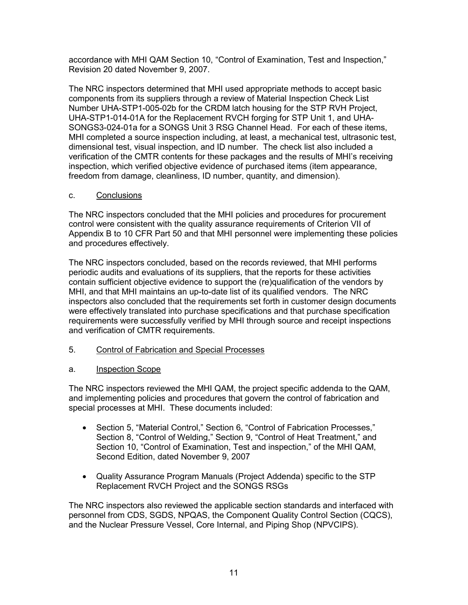accordance with MHI QAM Section 10, "Control of Examination, Test and Inspection," Revision 20 dated November 9, 2007.

The NRC inspectors determined that MHI used appropriate methods to accept basic components from its suppliers through a review of Material Inspection Check List Number UHA-STP1-005-02b for the CRDM latch housing for the STP RVH Project, UHA-STP1-014-01A for the Replacement RVCH forging for STP Unit 1, and UHA-SONGS3-024-01a for a SONGS Unit 3 RSG Channel Head. For each of these items, MHI completed a source inspection including, at least, a mechanical test, ultrasonic test, dimensional test, visual inspection, and ID number. The check list also included a verification of the CMTR contents for these packages and the results of MHI's receiving inspection, which verified objective evidence of purchased items (item appearance, freedom from damage, cleanliness, ID number, quantity, and dimension).

### c. Conclusions

The NRC inspectors concluded that the MHI policies and procedures for procurement control were consistent with the quality assurance requirements of Criterion VII of Appendix B to 10 CFR Part 50 and that MHI personnel were implementing these policies and procedures effectively.

The NRC inspectors concluded, based on the records reviewed, that MHI performs periodic audits and evaluations of its suppliers, that the reports for these activities contain sufficient objective evidence to support the (re)qualification of the vendors by MHI, and that MHI maintains an up-to-date list of its qualified vendors. The NRC inspectors also concluded that the requirements set forth in customer design documents were effectively translated into purchase specifications and that purchase specification requirements were successfully verified by MHI through source and receipt inspections and verification of CMTR requirements.

5. Control of Fabrication and Special Processes

## a. Inspection Scope

The NRC inspectors reviewed the MHI QAM, the project specific addenda to the QAM, and implementing policies and procedures that govern the control of fabrication and special processes at MHI. These documents included:

- Section 5, "Material Control," Section 6, "Control of Fabrication Processes," Section 8, "Control of Welding," Section 9, "Control of Heat Treatment," and Section 10, "Control of Examination, Test and inspection," of the MHI QAM, Second Edition, dated November 9, 2007
- Quality Assurance Program Manuals (Project Addenda) specific to the STP Replacement RVCH Project and the SONGS RSGs

The NRC inspectors also reviewed the applicable section standards and interfaced with personnel from CDS, SGDS, NPQAS, the Component Quality Control Section (CQCS), and the Nuclear Pressure Vessel, Core Internal, and Piping Shop (NPVCIPS).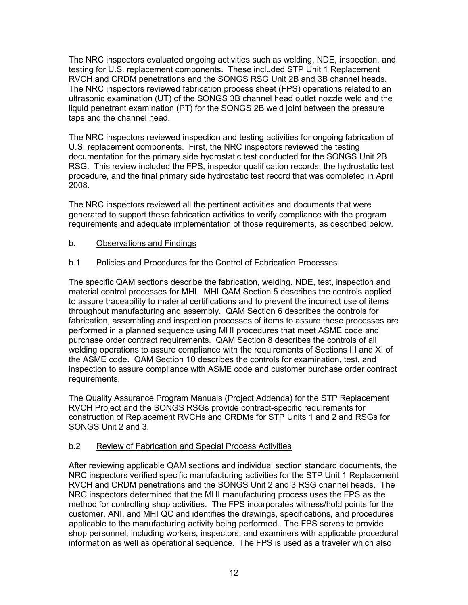The NRC inspectors evaluated ongoing activities such as welding, NDE, inspection, and testing for U.S. replacement components. These included STP Unit 1 Replacement RVCH and CRDM penetrations and the SONGS RSG Unit 2B and 3B channel heads. The NRC inspectors reviewed fabrication process sheet (FPS) operations related to an ultrasonic examination (UT) of the SONGS 3B channel head outlet nozzle weld and the liquid penetrant examination (PT) for the SONGS 2B weld joint between the pressure taps and the channel head.

The NRC inspectors reviewed inspection and testing activities for ongoing fabrication of U.S. replacement components. First, the NRC inspectors reviewed the testing documentation for the primary side hydrostatic test conducted for the SONGS Unit 2B RSG. This review included the FPS, inspector qualification records, the hydrostatic test procedure, and the final primary side hydrostatic test record that was completed in April 2008.

The NRC inspectors reviewed all the pertinent activities and documents that were generated to support these fabrication activities to verify compliance with the program requirements and adequate implementation of those requirements, as described below.

## b. Observations and Findings

## b.1 Policies and Procedures for the Control of Fabrication Processes

The specific QAM sections describe the fabrication, welding, NDE, test, inspection and material control processes for MHI. MHI QAM Section 5 describes the controls applied to assure traceability to material certifications and to prevent the incorrect use of items throughout manufacturing and assembly. QAM Section 6 describes the controls for fabrication, assembling and inspection processes of items to assure these processes are performed in a planned sequence using MHI procedures that meet ASME code and purchase order contract requirements. QAM Section 8 describes the controls of all welding operations to assure compliance with the requirements of Sections III and XI of the ASME code. QAM Section 10 describes the controls for examination, test, and inspection to assure compliance with ASME code and customer purchase order contract requirements.

The Quality Assurance Program Manuals (Project Addenda) for the STP Replacement RVCH Project and the SONGS RSGs provide contract-specific requirements for construction of Replacement RVCHs and CRDMs for STP Units 1 and 2 and RSGs for SONGS Unit 2 and 3.

## b.2 Review of Fabrication and Special Process Activities

After reviewing applicable QAM sections and individual section standard documents, the NRC inspectors verified specific manufacturing activities for the STP Unit 1 Replacement RVCH and CRDM penetrations and the SONGS Unit 2 and 3 RSG channel heads. The NRC inspectors determined that the MHI manufacturing process uses the FPS as the method for controlling shop activities. The FPS incorporates witness/hold points for the customer, ANI, and MHI QC and identifies the drawings, specifications, and procedures applicable to the manufacturing activity being performed. The FPS serves to provide shop personnel, including workers, inspectors, and examiners with applicable procedural information as well as operational sequence. The FPS is used as a traveler which also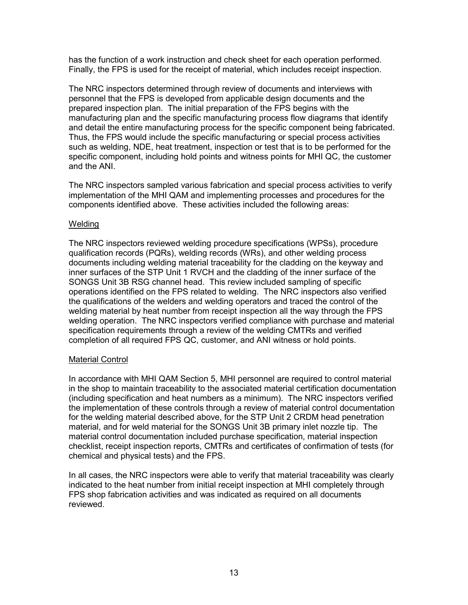has the function of a work instruction and check sheet for each operation performed. Finally, the FPS is used for the receipt of material, which includes receipt inspection.

The NRC inspectors determined through review of documents and interviews with personnel that the FPS is developed from applicable design documents and the prepared inspection plan. The initial preparation of the FPS begins with the manufacturing plan and the specific manufacturing process flow diagrams that identify and detail the entire manufacturing process for the specific component being fabricated. Thus, the FPS would include the specific manufacturing or special process activities such as welding, NDE, heat treatment, inspection or test that is to be performed for the specific component, including hold points and witness points for MHI QC, the customer and the ANI.

The NRC inspectors sampled various fabrication and special process activities to verify implementation of the MHI QAM and implementing processes and procedures for the components identified above. These activities included the following areas:

#### Welding

The NRC inspectors reviewed welding procedure specifications (WPSs), procedure qualification records (PQRs), welding records (WRs), and other welding process documents including welding material traceability for the cladding on the keyway and inner surfaces of the STP Unit 1 RVCH and the cladding of the inner surface of the SONGS Unit 3B RSG channel head. This review included sampling of specific operations identified on the FPS related to welding. The NRC inspectors also verified the qualifications of the welders and welding operators and traced the control of the welding material by heat number from receipt inspection all the way through the FPS welding operation. The NRC inspectors verified compliance with purchase and material specification requirements through a review of the welding CMTRs and verified completion of all required FPS QC, customer, and ANI witness or hold points.

#### Material Control

In accordance with MHI QAM Section 5, MHI personnel are required to control material in the shop to maintain traceability to the associated material certification documentation (including specification and heat numbers as a minimum). The NRC inspectors verified the implementation of these controls through a review of material control documentation for the welding material described above, for the STP Unit 2 CRDM head penetration material, and for weld material for the SONGS Unit 3B primary inlet nozzle tip. The material control documentation included purchase specification, material inspection checklist, receipt inspection reports, CMTRs and certificates of confirmation of tests (for chemical and physical tests) and the FPS.

In all cases, the NRC inspectors were able to verify that material traceability was clearly indicated to the heat number from initial receipt inspection at MHI completely through FPS shop fabrication activities and was indicated as required on all documents reviewed.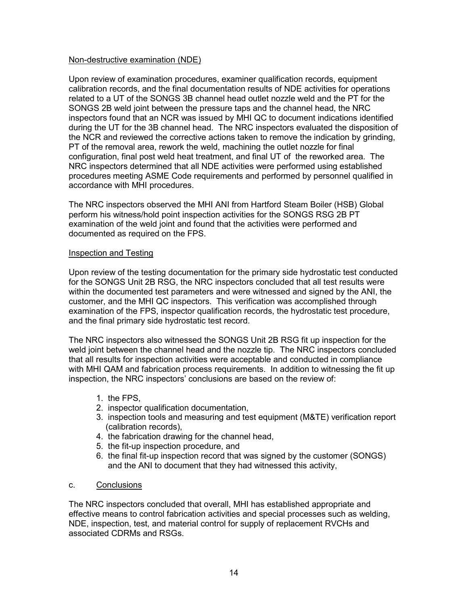#### Non-destructive examination (NDE)

Upon review of examination procedures, examiner qualification records, equipment calibration records, and the final documentation results of NDE activities for operations related to a UT of the SONGS 3B channel head outlet nozzle weld and the PT for the SONGS 2B weld joint between the pressure taps and the channel head, the NRC inspectors found that an NCR was issued by MHI QC to document indications identified during the UT for the 3B channel head. The NRC inspectors evaluated the disposition of the NCR and reviewed the corrective actions taken to remove the indication by grinding, PT of the removal area, rework the weld, machining the outlet nozzle for final configuration, final post weld heat treatment, and final UT of the reworked area. The NRC inspectors determined that all NDE activities were performed using established procedures meeting ASME Code requirements and performed by personnel qualified in accordance with MHI procedures.

The NRC inspectors observed the MHI ANI from Hartford Steam Boiler (HSB) Global perform his witness/hold point inspection activities for the SONGS RSG 2B PT examination of the weld joint and found that the activities were performed and documented as required on the FPS.

#### Inspection and Testing

Upon review of the testing documentation for the primary side hydrostatic test conducted for the SONGS Unit 2B RSG, the NRC inspectors concluded that all test results were within the documented test parameters and were witnessed and signed by the ANI, the customer, and the MHI QC inspectors. This verification was accomplished through examination of the FPS, inspector qualification records, the hydrostatic test procedure, and the final primary side hydrostatic test record.

The NRC inspectors also witnessed the SONGS Unit 2B RSG fit up inspection for the weld joint between the channel head and the nozzle tip. The NRC inspectors concluded that all results for inspection activities were acceptable and conducted in compliance with MHI QAM and fabrication process requirements. In addition to witnessing the fit up inspection, the NRC inspectors' conclusions are based on the review of:

- 1. the FPS,
- 2. inspector qualification documentation,
- 3. inspection tools and measuring and test equipment (M&TE) verification report (calibration records),
- 4. the fabrication drawing for the channel head,
- 5. the fit-up inspection procedure, and
- 6. the final fit-up inspection record that was signed by the customer (SONGS) and the ANI to document that they had witnessed this activity,

### c. Conclusions

The NRC inspectors concluded that overall, MHI has established appropriate and effective means to control fabrication activities and special processes such as welding, NDE, inspection, test, and material control for supply of replacement RVCHs and associated CDRMs and RSGs.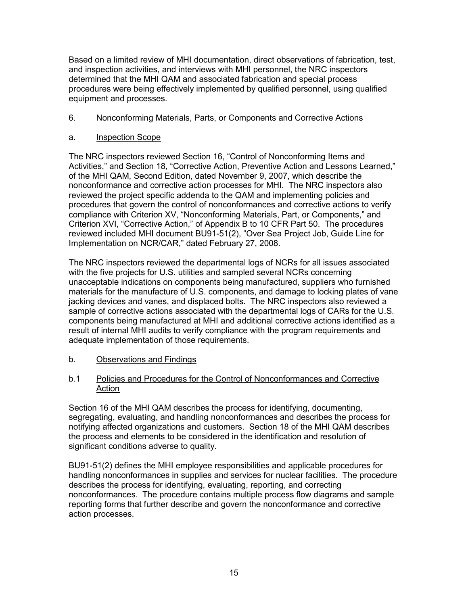Based on a limited review of MHI documentation, direct observations of fabrication, test, and inspection activities, and interviews with MHI personnel, the NRC inspectors determined that the MHI QAM and associated fabrication and special process procedures were being effectively implemented by qualified personnel, using qualified equipment and processes.

## 6. Nonconforming Materials, Parts, or Components and Corrective Actions

### a. Inspection Scope

The NRC inspectors reviewed Section 16, "Control of Nonconforming Items and Activities," and Section 18, "Corrective Action, Preventive Action and Lessons Learned," of the MHI QAM, Second Edition, dated November 9, 2007, which describe the nonconformance and corrective action processes for MHI. The NRC inspectors also reviewed the project specific addenda to the QAM and implementing policies and procedures that govern the control of nonconformances and corrective actions to verify compliance with Criterion XV, "Nonconforming Materials, Part, or Components," and Criterion XVI, "Corrective Action," of Appendix B to 10 CFR Part 50. The procedures reviewed included MHI document BU91-51(2), "Over Sea Project Job, Guide Line for Implementation on NCR/CAR," dated February 27, 2008.

The NRC inspectors reviewed the departmental logs of NCRs for all issues associated with the five projects for U.S. utilities and sampled several NCRs concerning unacceptable indications on components being manufactured, suppliers who furnished materials for the manufacture of U.S. components, and damage to locking plates of vane jacking devices and vanes, and displaced bolts. The NRC inspectors also reviewed a sample of corrective actions associated with the departmental logs of CARs for the U.S. components being manufactured at MHI and additional corrective actions identified as a result of internal MHI audits to verify compliance with the program requirements and adequate implementation of those requirements.

### b. Observations and Findings

### b.1 Policies and Procedures for the Control of Nonconformances and Corrective Action

Section 16 of the MHI QAM describes the process for identifying, documenting, segregating, evaluating, and handling nonconformances and describes the process for notifying affected organizations and customers. Section 18 of the MHI QAM describes the process and elements to be considered in the identification and resolution of significant conditions adverse to quality.

BU91-51(2) defines the MHI employee responsibilities and applicable procedures for handling nonconformances in supplies and services for nuclear facilities. The procedure describes the process for identifying, evaluating, reporting, and correcting nonconformances. The procedure contains multiple process flow diagrams and sample reporting forms that further describe and govern the nonconformance and corrective action processes.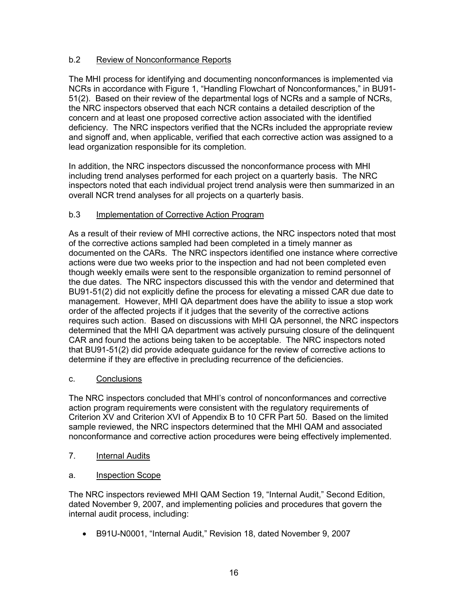## b.2 Review of Nonconformance Reports

The MHI process for identifying and documenting nonconformances is implemented via NCRs in accordance with Figure 1, "Handling Flowchart of Nonconformances," in BU91- 51(2). Based on their review of the departmental logs of NCRs and a sample of NCRs, the NRC inspectors observed that each NCR contains a detailed description of the concern and at least one proposed corrective action associated with the identified deficiency. The NRC inspectors verified that the NCRs included the appropriate review and signoff and, when applicable, verified that each corrective action was assigned to a lead organization responsible for its completion.

In addition, the NRC inspectors discussed the nonconformance process with MHI including trend analyses performed for each project on a quarterly basis. The NRC inspectors noted that each individual project trend analysis were then summarized in an overall NCR trend analyses for all projects on a quarterly basis.

## b.3 Implementation of Corrective Action Program

As a result of their review of MHI corrective actions, the NRC inspectors noted that most of the corrective actions sampled had been completed in a timely manner as documented on the CARs. The NRC inspectors identified one instance where corrective actions were due two weeks prior to the inspection and had not been completed even though weekly emails were sent to the responsible organization to remind personnel of the due dates. The NRC inspectors discussed this with the vendor and determined that BU91-51(2) did not explicitly define the process for elevating a missed CAR due date to management. However, MHI QA department does have the ability to issue a stop work order of the affected projects if it judges that the severity of the corrective actions requires such action. Based on discussions with MHI QA personnel, the NRC inspectors determined that the MHI QA department was actively pursuing closure of the delinquent CAR and found the actions being taken to be acceptable. The NRC inspectors noted that BU91-51(2) did provide adequate guidance for the review of corrective actions to determine if they are effective in precluding recurrence of the deficiencies.

## c. Conclusions

The NRC inspectors concluded that MHI's control of nonconformances and corrective action program requirements were consistent with the regulatory requirements of Criterion XV and Criterion XVI of Appendix B to 10 CFR Part 50. Based on the limited sample reviewed, the NRC inspectors determined that the MHI QAM and associated nonconformance and corrective action procedures were being effectively implemented.

- 7. Internal Audits
- a. Inspection Scope

The NRC inspectors reviewed MHI QAM Section 19, "Internal Audit," Second Edition, dated November 9, 2007, and implementing policies and procedures that govern the internal audit process, including:

• B91U-N0001, "Internal Audit," Revision 18, dated November 9, 2007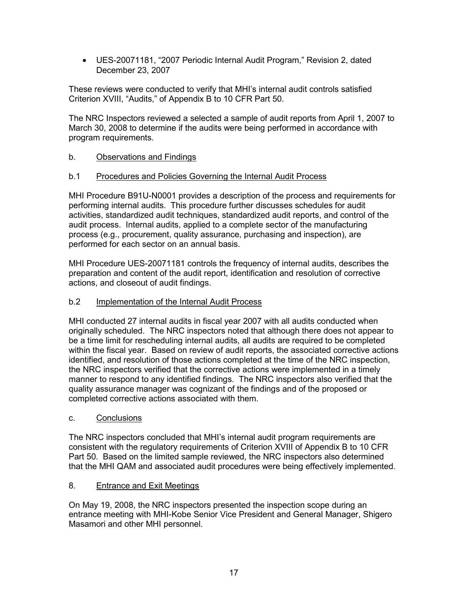• UES-20071181, "2007 Periodic Internal Audit Program," Revision 2, dated December 23, 2007

These reviews were conducted to verify that MHI's internal audit controls satisfied Criterion XVIII, "Audits," of Appendix B to 10 CFR Part 50.

The NRC Inspectors reviewed a selected a sample of audit reports from April 1, 2007 to March 30, 2008 to determine if the audits were being performed in accordance with program requirements.

## b. Observations and Findings

## b.1 Procedures and Policies Governing the Internal Audit Process

MHI Procedure B91U-N0001 provides a description of the process and requirements for performing internal audits. This procedure further discusses schedules for audit activities, standardized audit techniques, standardized audit reports, and control of the audit process. Internal audits, applied to a complete sector of the manufacturing process (e.g., procurement, quality assurance, purchasing and inspection), are performed for each sector on an annual basis.

MHI Procedure UES-20071181 controls the frequency of internal audits, describes the preparation and content of the audit report, identification and resolution of corrective actions, and closeout of audit findings.

## b.2 Implementation of the Internal Audit Process

MHI conducted 27 internal audits in fiscal year 2007 with all audits conducted when originally scheduled. The NRC inspectors noted that although there does not appear to be a time limit for rescheduling internal audits, all audits are required to be completed within the fiscal year. Based on review of audit reports, the associated corrective actions identified, and resolution of those actions completed at the time of the NRC inspection, the NRC inspectors verified that the corrective actions were implemented in a timely manner to respond to any identified findings. The NRC inspectors also verified that the quality assurance manager was cognizant of the findings and of the proposed or completed corrective actions associated with them.

## c. Conclusions

The NRC inspectors concluded that MHI's internal audit program requirements are consistent with the regulatory requirements of Criterion XVIII of Appendix B to 10 CFR Part 50. Based on the limited sample reviewed, the NRC inspectors also determined that the MHI QAM and associated audit procedures were being effectively implemented.

## 8. Entrance and Exit Meetings

On May 19, 2008, the NRC inspectors presented the inspection scope during an entrance meeting with MHI-Kobe Senior Vice President and General Manager, Shigero Masamori and other MHI personnel.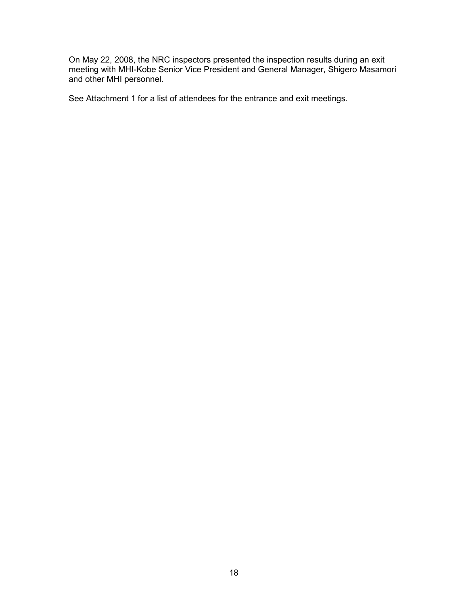On May 22, 2008, the NRC inspectors presented the inspection results during an exit meeting with MHI-Kobe Senior Vice President and General Manager, Shigero Masamori and other MHI personnel.

See Attachment 1 for a list of attendees for the entrance and exit meetings.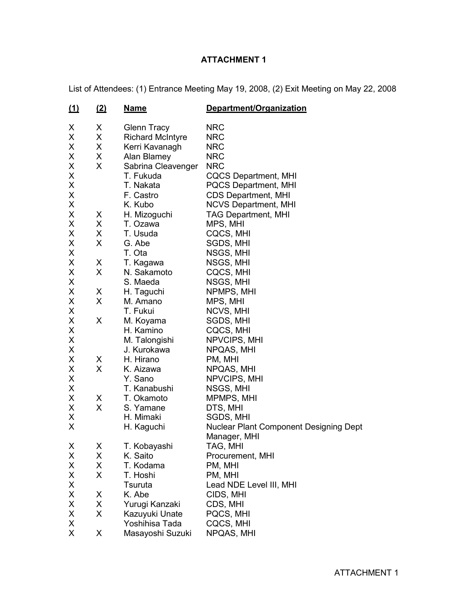# **ATTACHMENT 1**

List of Attendees: (1) Entrance Meeting May 19, 2008, (2) Exit Meeting on May 22, 2008

| <u>(1)</u> | <u>(2)</u> | <b>Name</b>             | Department/Organization                       |
|------------|------------|-------------------------|-----------------------------------------------|
| X          | Χ          | <b>Glenn Tracy</b>      | <b>NRC</b>                                    |
| X          | X          | <b>Richard McIntyre</b> | <b>NRC</b>                                    |
| X          | X          | Kerri Kavanagh          | <b>NRC</b>                                    |
| X          | Χ          | Alan Blamey             | <b>NRC</b>                                    |
| X          | X          | Sabrina Cleavenger      | <b>NRC</b>                                    |
| X          |            | T. Fukuda               | <b>CQCS Department, MHI</b>                   |
| X          |            | T. Nakata               | <b>PQCS Department, MHI</b>                   |
| X          |            | F. Castro               | <b>CDS Department, MHI</b>                    |
| X          |            | K. Kubo                 | <b>NCVS Department, MHI</b>                   |
| X          | X          | H. Mizoguchi            | <b>TAG Department, MHI</b>                    |
| X          | X          | T. Ozawa                | MPS, MHI                                      |
| X          | X          | T. Usuda                | CQCS, MHI                                     |
| X          | X          | G. Abe                  | SGDS, MHI                                     |
| X          |            | T. Ota                  | NSGS, MHI                                     |
| X          | X          | T. Kagawa               | NSGS, MHI                                     |
| X          | X          | N. Sakamoto             | CQCS, MHI                                     |
| X          |            | S. Maeda                | NSGS, MHI                                     |
| X          | X          | H. Taguchi              | NPMPS, MHI                                    |
| X          | X          | M. Amano                | MPS, MHI                                      |
| Χ          |            | T. Fukui                | NCVS, MHI                                     |
| X          | X          | M. Koyama               | SGDS, MHI                                     |
| X          |            | H. Kamino               | CQCS, MHI                                     |
| X          |            | M. Talongishi           | NPVCIPS, MHI                                  |
| X          |            | J. Kurokawa             | NPQAS, MHI                                    |
| X          | X          | H. Hirano               | PM, MHI                                       |
| X          | X          | K. Aizawa               | NPQAS, MHI                                    |
| X          |            | Y. Sano                 | NPVCIPS, MHI                                  |
| Χ          |            | T. Kanabushi            | NSGS, MHI                                     |
| X          | X          | T. Okamoto              | MPMPS, MHI                                    |
| Χ          | X          | S. Yamane               | DTS, MHI                                      |
| X          |            | H. Mimaki               | SGDS, MHI                                     |
| X          |            | H. Kaguchi              | <b>Nuclear Plant Component Designing Dept</b> |
|            |            |                         | Manager, MHI                                  |
| X          | Χ          | T. Kobayashi            | TAG, MHI                                      |
| X          | X          | K. Saito                | Procurement, MHI                              |
| X          | X          | T. Kodama               | PM, MHI                                       |
| X          | X          | T. Hoshi                | PM, MHI                                       |
| X          |            | Tsuruta                 | Lead NDE Level III, MHI                       |
| Χ          | X          | K. Abe                  | CIDS, MHI                                     |
| X          | X          | Yurugi Kanzaki          | CDS, MHI                                      |
| X          | X          | Kazuyuki Unate          | PQCS, MHI                                     |
| X          |            | Yoshihisa Tada          | CQCS, MHI                                     |
| X.         | X          | Masayoshi Suzuki        | NPQAS, MHI                                    |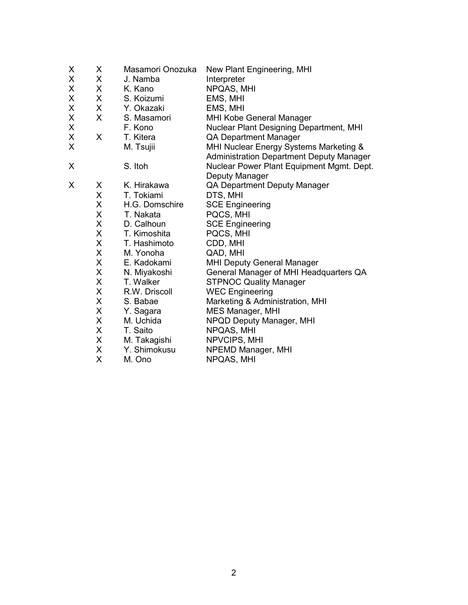| X | X | Masamori Onozuka | New Plant Engineering, MHI                                                                |
|---|---|------------------|-------------------------------------------------------------------------------------------|
| X | X | J. Namba         | Interpreter                                                                               |
| X | X | K. Kano          | NPQAS, MHI                                                                                |
| X | X | S. Koizumi       | EMS, MHI                                                                                  |
| Χ | X | Y. Okazaki       | EMS, MHI                                                                                  |
| X | X | S. Masamori      | MHI Kobe General Manager                                                                  |
| Χ |   | F. Kono          | Nuclear Plant Designing Department, MHI                                                   |
| X | X | T. Kitera        | <b>QA Department Manager</b>                                                              |
| X |   | M. Tsujii        | MHI Nuclear Energy Systems Marketing &<br><b>Administration Department Deputy Manager</b> |
| X |   | S. Itoh          | Nuclear Power Plant Equipment Mgmt. Dept.                                                 |
|   |   |                  | Deputy Manager                                                                            |
| X | X | K. Hirakawa      | <b>QA Department Deputy Manager</b>                                                       |
|   | X | T. Tokiami       | DTS, MHI                                                                                  |
|   | X | H.G. Domschire   | <b>SCE Engineering</b>                                                                    |
|   | X | T. Nakata        | PQCS, MHI                                                                                 |
|   | X | D. Calhoun       | <b>SCE Engineering</b>                                                                    |
|   | X | T. Kimoshita     | PQCS, MHI                                                                                 |
|   | X | T. Hashimoto     | CDD, MHI                                                                                  |
|   | X | M. Yonoha        | QAD, MHI                                                                                  |
|   | X | E. Kadokami      | <b>MHI Deputy General Manager</b>                                                         |
|   | X | N. Miyakoshi     | General Manager of MHI Headquarters QA                                                    |
|   | X | T. Walker        | <b>STPNOC Quality Manager</b>                                                             |
|   | X | R.W. Driscoll    | <b>WEC Engineering</b>                                                                    |
|   | X | S. Babae         | Marketing & Administration, MHI                                                           |
|   | X | Y. Sagara        | MES Manager, MHI                                                                          |
|   | X | M. Uchida        | NPQD Deputy Manager, MHI                                                                  |
|   | X | T. Saito         | NPQAS, MHI                                                                                |
|   | X | M. Takagishi     | NPVCIPS, MHI                                                                              |
|   | X | Y. Shimokusu     | NPEMD Manager, MHI                                                                        |
|   | X | M. Ono           | NPQAS, MHI                                                                                |